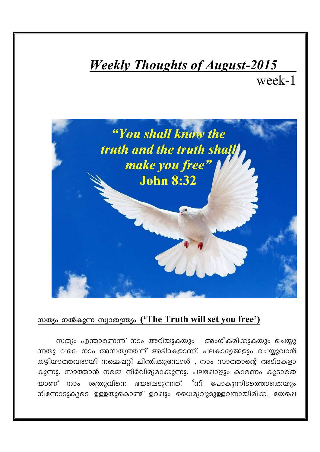## *Weekly Thoughts of August-2015*

week-1



## സത്യം നൽകുന്ന സ്വാതന്ത്ര്യം ('The Truth will set you free')

സത്യം എന്താണെന്ന് നാം അറിയുകയും , അംഗീകരിക്കുകയും ചെയ്യു ന്നതു വരെ നാം അസത്യത്തിന് അടിമകളാണ്. പലകാര്യങ്ങളും ചെയ്യുവാൻ കഴിയാത്തവരായി നമ്മെഷറ്റി ചിന്തിക്കുമ്പോൾ , നാം സാത്താന്റെ അടിമകളാ കുന്നു. സാത്താൻ നമ്മെ നിർവീര്യരാക്കുന്നു. പലഷോഴും കാരണം കൂടാതെ യാണ് നാം ശത്രുവിനെ ഭയഷെടുന്നത്. 'നീ പോകുന്നിടത്തൊക്കെയും നിന്നോടുകൂടെ ഉള്ളതുകൊണ്ട് ഉറഷും ധൈര്യവുമുള്ളവനായിരിക്ക, ഭയപ്പെ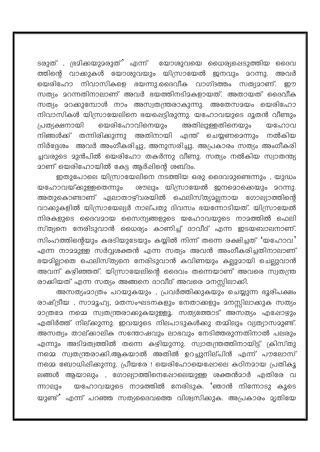ടരുത് , ഭ്രമിക്കയുമരുത്' എന്ന് യോശുവയെ ധൈര്യപ്പെടുത്തിയ ദൈവ ത്തിന്റെ വാക്കുകൾ യോശുവയും യിസ്രായേൽ ജനവും മറന്നു. അവർ യെരിഹോ നിവാസികളെ ഭയന്നു.ദൈവീക വാഗ്ദത്തം സത്യമാണ്. ഈ സത്യം മറന്നതിനാലാണ് അവർ ഭയത്തിനടിമകളായത്. അതായത് ദൈവീക സത്യം മറക്കുമ്പോൾ നാം അസ്വതന്ത്രരാകുന്നു. അതേസമയം യെരിഹോ നിവാസികൾ യിസ്രായേലിനെ ഭയപ്പെട്ടിരുന്നു. യഹോവയുടെ ദൂതൻ വീണ്ടും പ്രത്യക്ഷനായി യെരിഹോവിനെയും അതിലുള്ളതിനെയും യഹോവ അതിനായി എന്ത് ചെയ്യണമെന്നും നിങ്ങൾക്ക് തന്നിരിക്കുന്നു നൽകിയ നിർദ്ദേശം അവർ അംഗീകരിച്ചു, അനുസരിച്ചു. അപ്രകാരം സത്യം അംഗീകരി ച്ചവരുടെ മുൻപിൽ യെരിഹോ തകർന്നു വീണു. സത്യം നൽകിയ സ്വാതന്ത്യ <u>മാണ് യെരിഹോയിൽ കേട്ട ആർപ്പിന്റെ ശബ്ദം.</u>

ഇതുപോലെ യിസ്രായേലിനെ നടത്തിയ ഒരു ദൈവമുണ്ടെന്നും , യുദ്ധം ശൗലും യിസ്രായേൽ ജനമൊക്കെയും മറന്നു. യഹോവയ്ക്കുള്ളതെന്നും അതുകൊണ്ടാണ് ഏലാതാഴ്വരയിൽ ഫെലിസ്ത്യമല്ലനായ ഗോല്യാത്തിന്റെ വാക്കുകളിൽ യിസ്രായേല്യർ നാല്പതു ദിവസം ഭയന്നോടിയത്. യിസ്രായേൽ നിരകളുടെ ദൈവമായ സൈന്യങ്ങളുടെ യഹോവയുടെ നാമത്തിൽ ഫെലി സ്ത്യനെ നേരിടുവാൻ ധൈര്യം കാണിച്ച് ദാവീദ് എന്ന ഇടയബാലനാണ്. സിംഹത്തിന്റെയും കരടിയുടേയും കയ്യിൽ നിന്ന് തന്നെ രക്ഷിച്ചത് 'യഹോവ' എന്ന നാമമുള്ള സർവ്വശക്തൻ എന്ന സത്യം അവൻ അംഗീകരിച്ചതിനാലാണ് ഭയമില്ലാതെ ഫെലിസ്ത്യനെ നേരിടുവാൻ കവിണയും കല്ലുമായി ചെല്ലുവാൻ അവന് കഴിഞ്ഞത്. യിസ്രായേലിന്റെ ദൈവം തന്നെയാണ് അവരെ സ്വതന്ത്ര രാക്കിയത് എന്ന സത്യം അങ്ങനെ ദാവീദ് അവരെ മനസ്സിലാക്കി.

അസത്യംമാത്രം പറയുകയും , പ്രവർത്തിക്കുകയും ചെയ്യുന്ന ഭൂരിപക്ഷം രാഷ്ട്രീയ , സാമൂഹ്യ, മതസംഘടനകളും നേതാക്കളും മനസ്സിലാക്കുക സത്യം മാത്രമേ നമ്മെ സ്വതന്ത്രരാക്കുകയുള്ളൂ. സത്യത്തോട് അസത്യം എഷോഴും എതിർത്ത് നില്ക്കുന്നു. ഇവയുടെ നിലപാടുകൾക്കു തമ്മിലും വ്യത്യാസമുണ്ട്. അസത്യം താല്ക്കാലിക സന്തോഷവും ലാഭവും നേടിത്തരുന്നതിനാൽ പലരും എന്നും അടിമത്വത്തിൽ തന്നെ കഴിയുന്നു. സ്വാതന്ത്രത്തിനായിട്ട് ക്രിസ്തു നമ്മെ സ്വതന്ത്രരാക്കി,ആകയാൽ അതിൽ ഉറച്ചുനില്പിൻ എന്ന് പൗലോസ് നമ്മെ ബോധിഷിക്കുന്നു. പ്രീയരേ ! യെരിഹോയെഷോലെ കഠിനമായ പ്രതികൂ ലങ്ങൾ ആയാലും , ഗോല്യാത്തിനെഷോലെയുള്ള ശക്തൻമാർ എതിരേ വ യഹോവയുടെ നാമത്തിൽ നേരിടുക. 'ഞാൻ നിന്നോടു കൂടെ ന്നാലും യുണ്ട്' എന്ന് പറഞ്ഞ സത്യദൈവത്തെ വിശ്വസിക്കുക. അപ്രകാരം മൃതിയേ